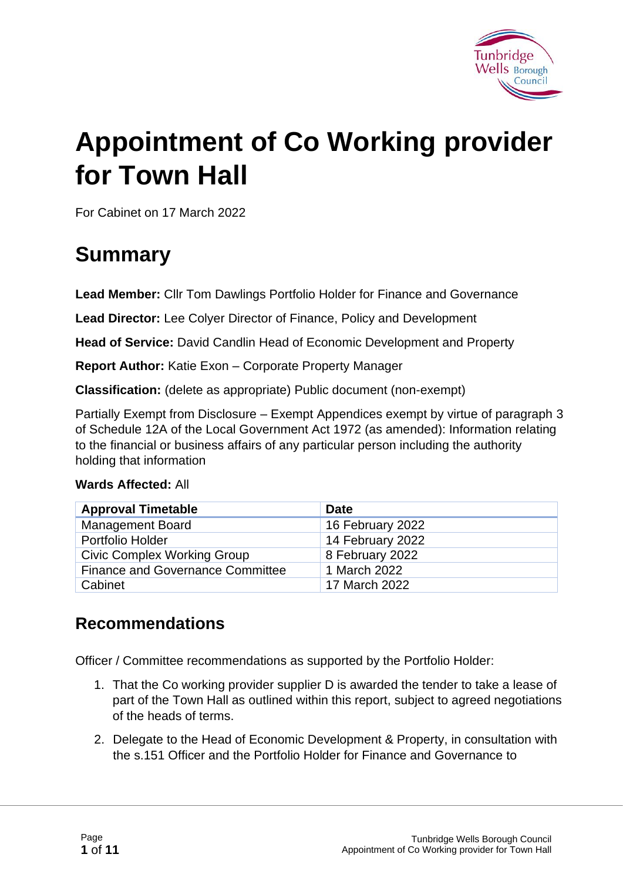

# **Appointment of Co Working provider for Town Hall**

For Cabinet on 17 March 2022

## **Summary**

**Lead Member:** Cllr Tom Dawlings Portfolio Holder for Finance and Governance

**Lead Director:** Lee Colyer Director of Finance, Policy and Development

**Head of Service:** David Candlin Head of Economic Development and Property

**Report Author:** Katie Exon – Corporate Property Manager

**Classification:** (delete as appropriate) Public document (non-exempt)

Partially Exempt from Disclosure – Exempt Appendices exempt by virtue of paragraph 3 of Schedule 12A of the Local Government Act 1972 (as amended): Information relating to the financial or business affairs of any particular person including the authority holding that information

#### **Wards Affected:** All

| <b>Approval Timetable</b>               | Date             |
|-----------------------------------------|------------------|
| <b>Management Board</b>                 | 16 February 2022 |
| Portfolio Holder                        | 14 February 2022 |
| <b>Civic Complex Working Group</b>      | 8 February 2022  |
| <b>Finance and Governance Committee</b> | 1 March 2022     |
| Cabinet                                 | 17 March 2022    |

#### **Recommendations**

Officer / Committee recommendations as supported by the Portfolio Holder:

- 1. That the Co working provider supplier D is awarded the tender to take a lease of part of the Town Hall as outlined within this report, subject to agreed negotiations of the heads of terms.
- 2. Delegate to the Head of Economic Development & Property, in consultation with the s.151 Officer and the Portfolio Holder for Finance and Governance to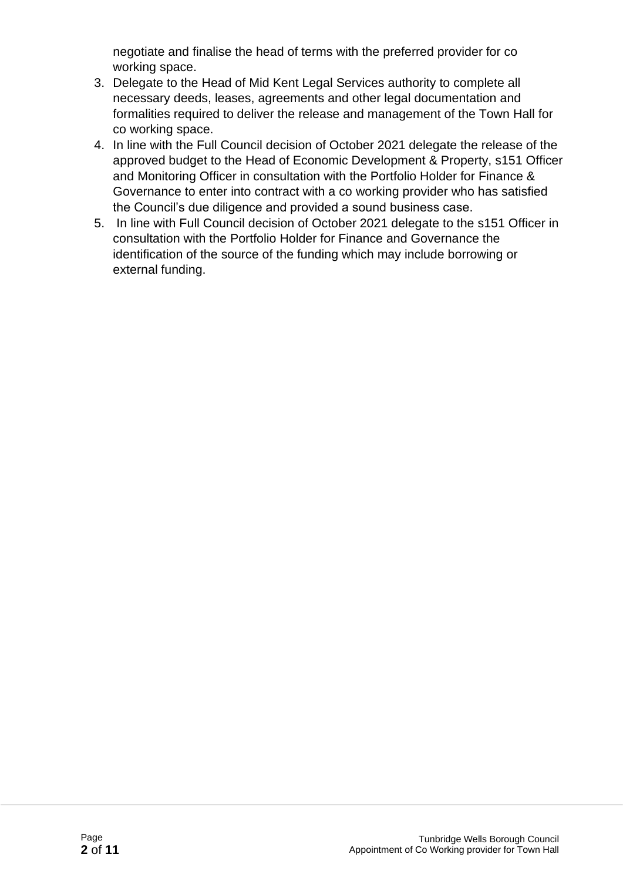negotiate and finalise the head of terms with the preferred provider for co working space.

- 3. Delegate to the Head of Mid Kent Legal Services authority to complete all necessary deeds, leases, agreements and other legal documentation and formalities required to deliver the release and management of the Town Hall for co working space.
- 4. In line with the Full Council decision of October 2021 delegate the release of the approved budget to the Head of Economic Development & Property, s151 Officer and Monitoring Officer in consultation with the Portfolio Holder for Finance & Governance to enter into contract with a co working provider who has satisfied the Council's due diligence and provided a sound business case.
- 5. In line with Full Council decision of October 2021 delegate to the s151 Officer in consultation with the Portfolio Holder for Finance and Governance the identification of the source of the funding which may include borrowing or external funding.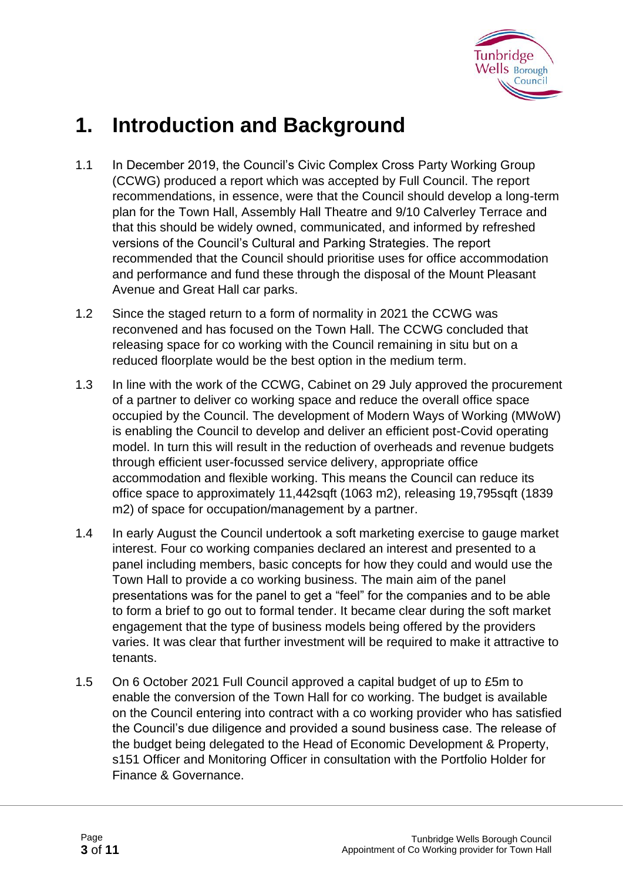

## **1. Introduction and Background**

- 1.1 In December 2019, the Council's Civic Complex Cross Party Working Group (CCWG) produced a report which was accepted by Full Council. The report recommendations, in essence, were that the Council should develop a long-term plan for the Town Hall, Assembly Hall Theatre and 9/10 Calverley Terrace and that this should be widely owned, communicated, and informed by refreshed versions of the Council's Cultural and Parking Strategies. The report recommended that the Council should prioritise uses for office accommodation and performance and fund these through the disposal of the Mount Pleasant Avenue and Great Hall car parks.
- 1.2 Since the staged return to a form of normality in 2021 the CCWG was reconvened and has focused on the Town Hall. The CCWG concluded that releasing space for co working with the Council remaining in situ but on a reduced floorplate would be the best option in the medium term.
- 1.3 In line with the work of the CCWG, Cabinet on 29 July approved the procurement of a partner to deliver co working space and reduce the overall office space occupied by the Council. The development of Modern Ways of Working (MWoW) is enabling the Council to develop and deliver an efficient post-Covid operating model. In turn this will result in the reduction of overheads and revenue budgets through efficient user-focussed service delivery, appropriate office accommodation and flexible working. This means the Council can reduce its office space to approximately 11,442sqft (1063 m2), releasing 19,795sqft (1839 m2) of space for occupation/management by a partner.
- 1.4 In early August the Council undertook a soft marketing exercise to gauge market interest. Four co working companies declared an interest and presented to a panel including members, basic concepts for how they could and would use the Town Hall to provide a co working business. The main aim of the panel presentations was for the panel to get a "feel" for the companies and to be able to form a brief to go out to formal tender. It became clear during the soft market engagement that the type of business models being offered by the providers varies. It was clear that further investment will be required to make it attractive to tenants.
- 1.5 On 6 October 2021 Full Council approved a capital budget of up to £5m to enable the conversion of the Town Hall for co working. The budget is available on the Council entering into contract with a co working provider who has satisfied the Council's due diligence and provided a sound business case. The release of the budget being delegated to the Head of Economic Development & Property, s151 Officer and Monitoring Officer in consultation with the Portfolio Holder for Finance & Governance.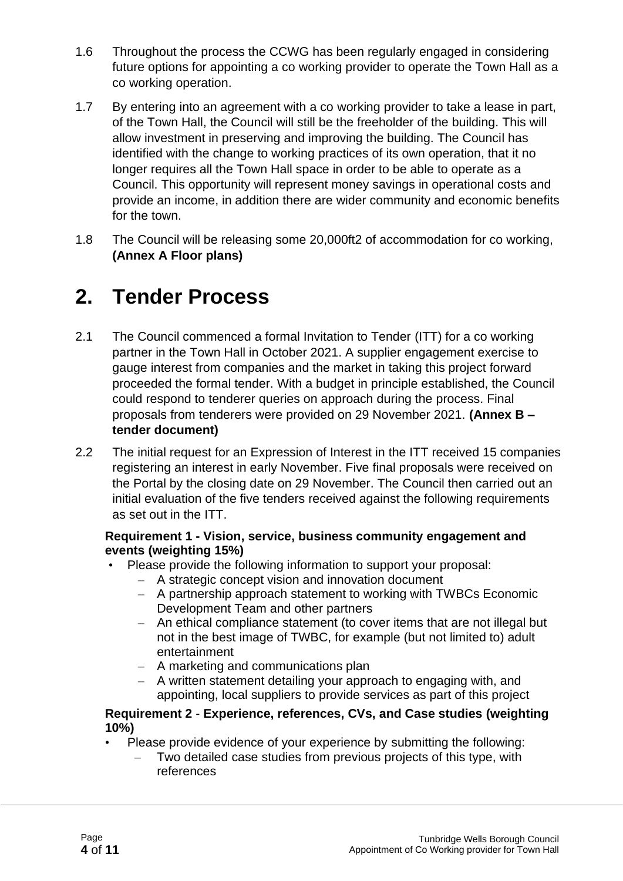- 1.6 Throughout the process the CCWG has been regularly engaged in considering future options for appointing a co working provider to operate the Town Hall as a co working operation.
- 1.7 By entering into an agreement with a co working provider to take a lease in part, of the Town Hall, the Council will still be the freeholder of the building. This will allow investment in preserving and improving the building. The Council has identified with the change to working practices of its own operation, that it no longer requires all the Town Hall space in order to be able to operate as a Council. This opportunity will represent money savings in operational costs and provide an income, in addition there are wider community and economic benefits for the town.
- 1.8 The Council will be releasing some 20,000ft2 of accommodation for co working, **(Annex A Floor plans)**

## **2. Tender Process**

- 2.1 The Council commenced a formal Invitation to Tender (ITT) for a co working partner in the Town Hall in October 2021. A supplier engagement exercise to gauge interest from companies and the market in taking this project forward proceeded the formal tender. With a budget in principle established, the Council could respond to tenderer queries on approach during the process. Final proposals from tenderers were provided on 29 November 2021. **(Annex B – tender document)**
- 2.2 The initial request for an Expression of Interest in the ITT received 15 companies registering an interest in early November. Five final proposals were received on the Portal by the closing date on 29 November. The Council then carried out an initial evaluation of the five tenders received against the following requirements as set out in the ITT.

#### **Requirement 1 - Vision, service, business community engagement and events (weighting 15%)**

- Please provide the following information to support your proposal:
	- A strategic concept vision and innovation document
	- A partnership approach statement to working with TWBCs Economic Development Team and other partners
	- An ethical compliance statement (to cover items that are not illegal but not in the best image of TWBC, for example (but not limited to) adult entertainment
	- A marketing and communications plan
	- A written statement detailing your approach to engaging with, and appointing, local suppliers to provide services as part of this project

#### **Requirement 2** - **Experience, references, CVs, and Case studies (weighting 10%)**

- Please provide evidence of your experience by submitting the following:
	- Two detailed case studies from previous projects of this type, with references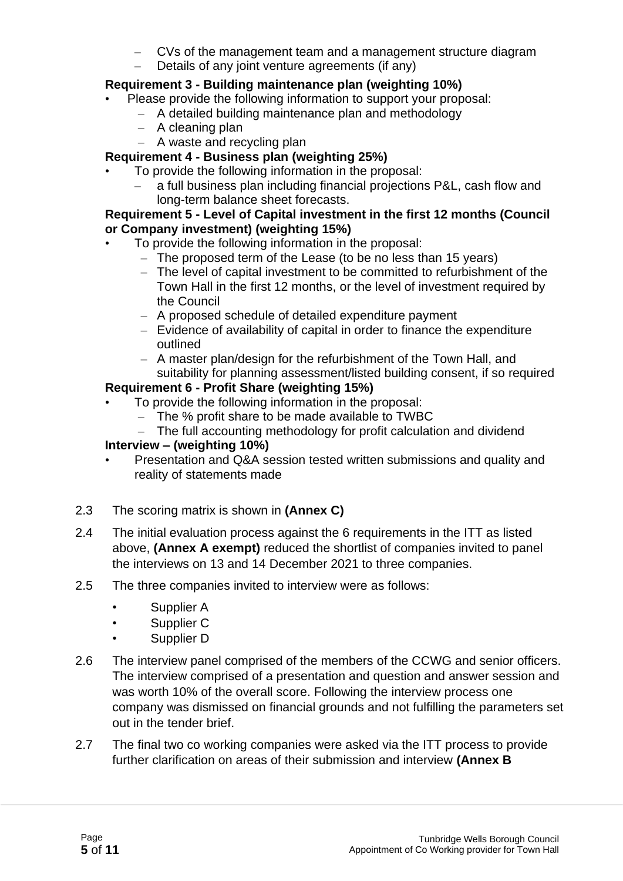- CVs of the management team and a management structure diagram
- Details of any joint venture agreements (if any)

#### **Requirement 3 - Building maintenance plan (weighting 10%)**

- Please provide the following information to support your proposal:
	- A detailed building maintenance plan and methodology
	- A cleaning plan
	- A waste and recycling plan

#### **Requirement 4 - Business plan (weighting 25%)**

- To provide the following information in the proposal:
	- a full business plan including financial projections P&L, cash flow and long-term balance sheet forecasts.

#### **Requirement 5 - Level of Capital investment in the first 12 months (Council or Company investment) (weighting 15%)**

- To provide the following information in the proposal:
	- The proposed term of the Lease (to be no less than 15 years)
	- The level of capital investment to be committed to refurbishment of the Town Hall in the first 12 months, or the level of investment required by the Council
	- A proposed schedule of detailed expenditure payment
	- Evidence of availability of capital in order to finance the expenditure outlined
	- A master plan/design for the refurbishment of the Town Hall, and suitability for planning assessment/listed building consent, if so required

#### **Requirement 6 - Profit Share (weighting 15%)**

- To provide the following information in the proposal:
	- The % profit share to be made available to TWBC
	- The full accounting methodology for profit calculation and dividend

#### **Interview – (weighting 10%)**

- Presentation and Q&A session tested written submissions and quality and reality of statements made
- 2.3 The scoring matrix is shown in **(Annex C)**
- 2.4 The initial evaluation process against the 6 requirements in the ITT as listed above, **(Annex A exempt)** reduced the shortlist of companies invited to panel the interviews on 13 and 14 December 2021 to three companies.
- 2.5 The three companies invited to interview were as follows:
	- Supplier A
	- Supplier C
	- Supplier D
- 2.6 The interview panel comprised of the members of the CCWG and senior officers. The interview comprised of a presentation and question and answer session and was worth 10% of the overall score. Following the interview process one company was dismissed on financial grounds and not fulfilling the parameters set out in the tender brief.
- 2.7 The final two co working companies were asked via the ITT process to provide further clarification on areas of their submission and interview **(Annex B**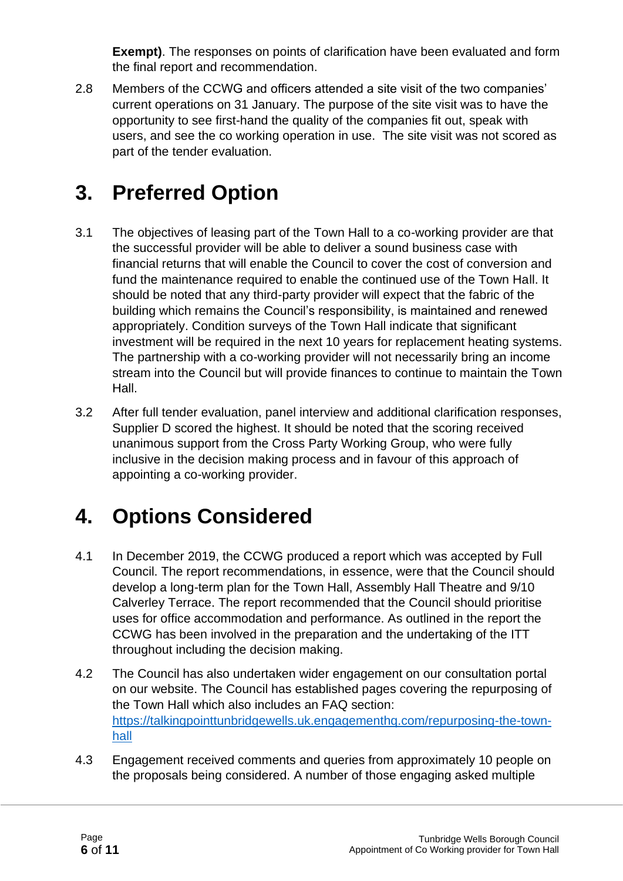**Exempt)**. The responses on points of clarification have been evaluated and form the final report and recommendation.

2.8 Members of the CCWG and officers attended a site visit of the two companies' current operations on 31 January. The purpose of the site visit was to have the opportunity to see first-hand the quality of the companies fit out, speak with users, and see the co working operation in use. The site visit was not scored as part of the tender evaluation.

## **3. Preferred Option**

- 3.1 The objectives of leasing part of the Town Hall to a co-working provider are that the successful provider will be able to deliver a sound business case with financial returns that will enable the Council to cover the cost of conversion and fund the maintenance required to enable the continued use of the Town Hall. It should be noted that any third-party provider will expect that the fabric of the building which remains the Council's responsibility, is maintained and renewed appropriately. Condition surveys of the Town Hall indicate that significant investment will be required in the next 10 years for replacement heating systems. The partnership with a co-working provider will not necessarily bring an income stream into the Council but will provide finances to continue to maintain the Town Hall.
- 3.2 After full tender evaluation, panel interview and additional clarification responses, Supplier D scored the highest. It should be noted that the scoring received unanimous support from the Cross Party Working Group, who were fully inclusive in the decision making process and in favour of this approach of appointing a co-working provider.

## **4. Options Considered**

- 4.1 In December 2019, the CCWG produced a report which was accepted by Full Council. The report recommendations, in essence, were that the Council should develop a long-term plan for the Town Hall, Assembly Hall Theatre and 9/10 Calverley Terrace. The report recommended that the Council should prioritise uses for office accommodation and performance. As outlined in the report the CCWG has been involved in the preparation and the undertaking of the ITT throughout including the decision making.
- 4.2 The Council has also undertaken wider engagement on our consultation portal on our website. The Council has established pages covering the repurposing of the Town Hall which also includes an FAQ section: [https://talkingpointtunbridgewells.uk.engagementhq.com/repurposing-the-town](https://talkingpointtunbridgewells.uk.engagementhq.com/repurposing-the-town-hall)[hall](https://talkingpointtunbridgewells.uk.engagementhq.com/repurposing-the-town-hall)
- 4.3 Engagement received comments and queries from approximately 10 people on the proposals being considered. A number of those engaging asked multiple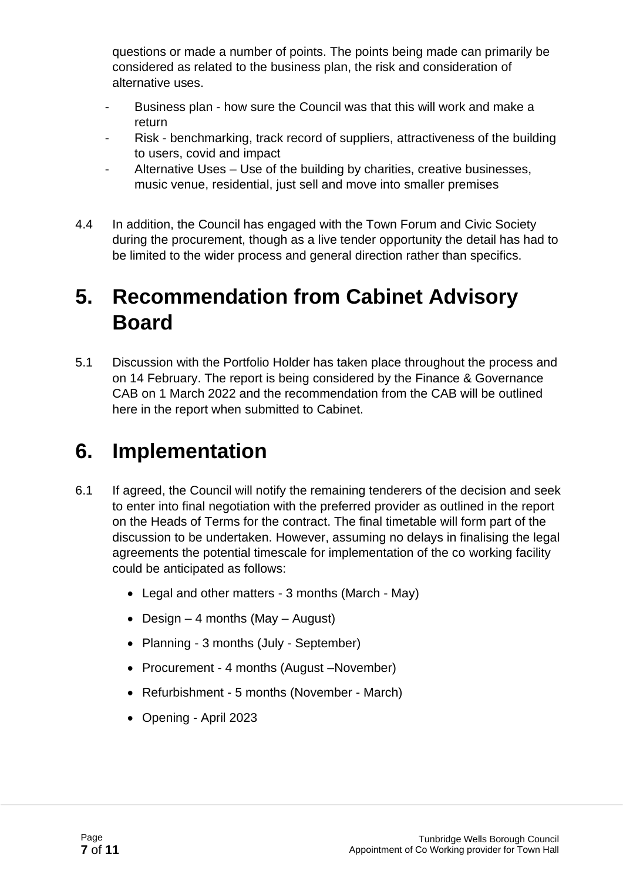questions or made a number of points. The points being made can primarily be considered as related to the business plan, the risk and consideration of alternative uses.

- Business plan how sure the Council was that this will work and make a return
- Risk benchmarking, track record of suppliers, attractiveness of the building to users, covid and impact
- Alternative Uses Use of the building by charities, creative businesses, music venue, residential, just sell and move into smaller premises
- 4.4 In addition, the Council has engaged with the Town Forum and Civic Society during the procurement, though as a live tender opportunity the detail has had to be limited to the wider process and general direction rather than specifics.

## **5. Recommendation from Cabinet Advisory Board**

5.1 Discussion with the Portfolio Holder has taken place throughout the process and on 14 February. The report is being considered by the Finance & Governance CAB on 1 March 2022 and the recommendation from the CAB will be outlined here in the report when submitted to Cabinet.

## **6. Implementation**

- 6.1 If agreed, the Council will notify the remaining tenderers of the decision and seek to enter into final negotiation with the preferred provider as outlined in the report on the Heads of Terms for the contract. The final timetable will form part of the discussion to be undertaken. However, assuming no delays in finalising the legal agreements the potential timescale for implementation of the co working facility could be anticipated as follows:
	- Legal and other matters 3 months (March May)
	- Design  $-4$  months (May  $-$  August)
	- Planning 3 months (July September)
	- Procurement 4 months (August –November)
	- Refurbishment 5 months (November March)
	- Opening April 2023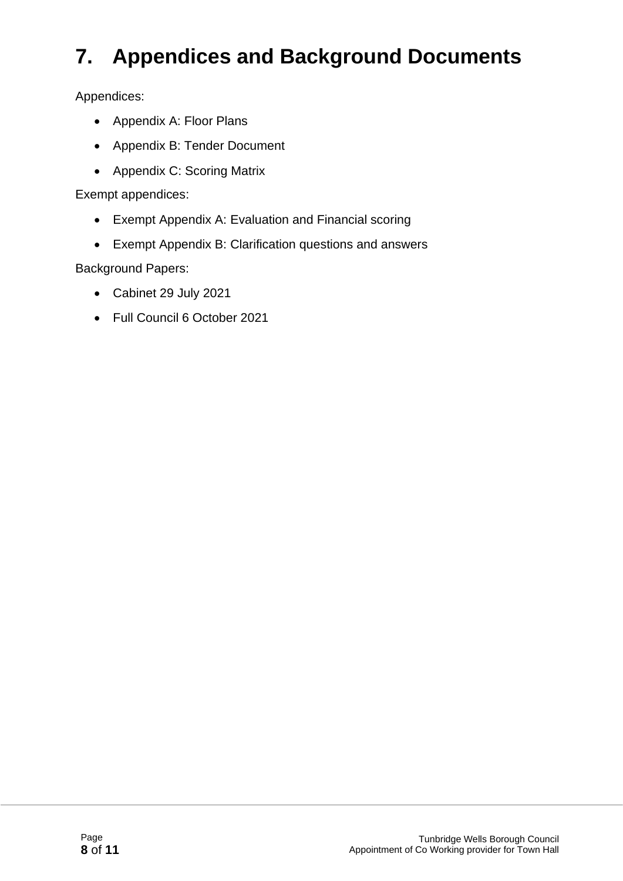## **7. Appendices and Background Documents**

Appendices:

- Appendix A: Floor Plans
- Appendix B: Tender Document
- Appendix C: Scoring Matrix

Exempt appendices:

- Exempt Appendix A: Evaluation and Financial scoring
- Exempt Appendix B: Clarification questions and answers

Background Papers:

- Cabinet 29 July 2021
- Full Council 6 October 2021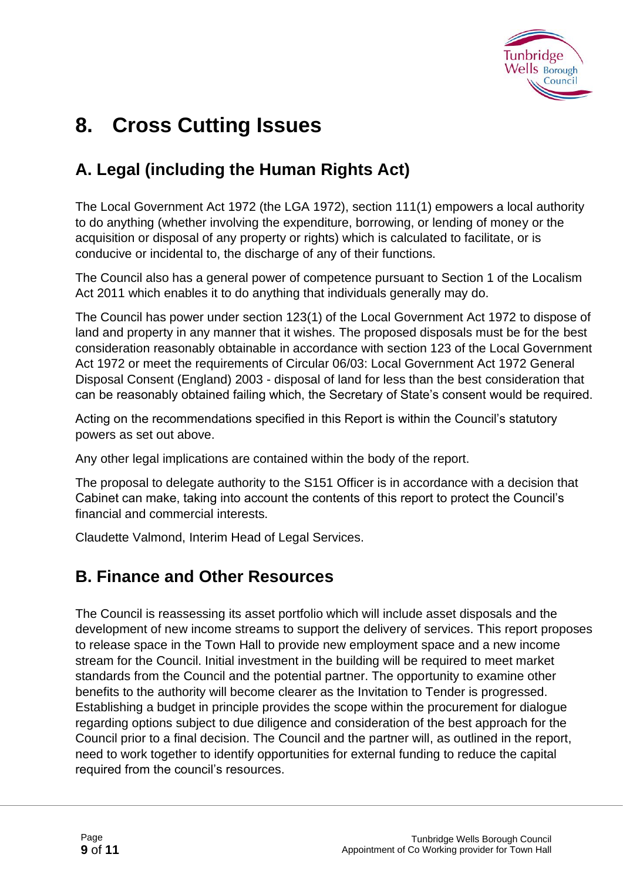

## **8. Cross Cutting Issues**

### **A. Legal (including the Human Rights Act)**

The Local Government Act 1972 (the LGA 1972), section 111(1) empowers a local authority to do anything (whether involving the expenditure, borrowing, or lending of money or the acquisition or disposal of any property or rights) which is calculated to facilitate, or is conducive or incidental to, the discharge of any of their functions.

The Council also has a general power of competence pursuant to Section 1 of the Localism Act 2011 which enables it to do anything that individuals generally may do.

The Council has power under section 123(1) of the Local Government Act 1972 to dispose of land and property in any manner that it wishes. The proposed disposals must be for the best consideration reasonably obtainable in accordance with section 123 of the Local Government Act 1972 or meet the requirements of Circular 06/03: Local Government Act 1972 General Disposal Consent (England) 2003 - disposal of land for less than the best consideration that can be reasonably obtained failing which, the Secretary of State's consent would be required.

Acting on the recommendations specified in this Report is within the Council's statutory powers as set out above.

Any other legal implications are contained within the body of the report.

The proposal to delegate authority to the S151 Officer is in accordance with a decision that Cabinet can make, taking into account the contents of this report to protect the Council's financial and commercial interests.

Claudette Valmond, Interim Head of Legal Services.

### **B. Finance and Other Resources**

The Council is reassessing its asset portfolio which will include asset disposals and the development of new income streams to support the delivery of services. This report proposes to release space in the Town Hall to provide new employment space and a new income stream for the Council. Initial investment in the building will be required to meet market standards from the Council and the potential partner. The opportunity to examine other benefits to the authority will become clearer as the Invitation to Tender is progressed. Establishing a budget in principle provides the scope within the procurement for dialogue regarding options subject to due diligence and consideration of the best approach for the Council prior to a final decision. The Council and the partner will, as outlined in the report, need to work together to identify opportunities for external funding to reduce the capital required from the council's resources.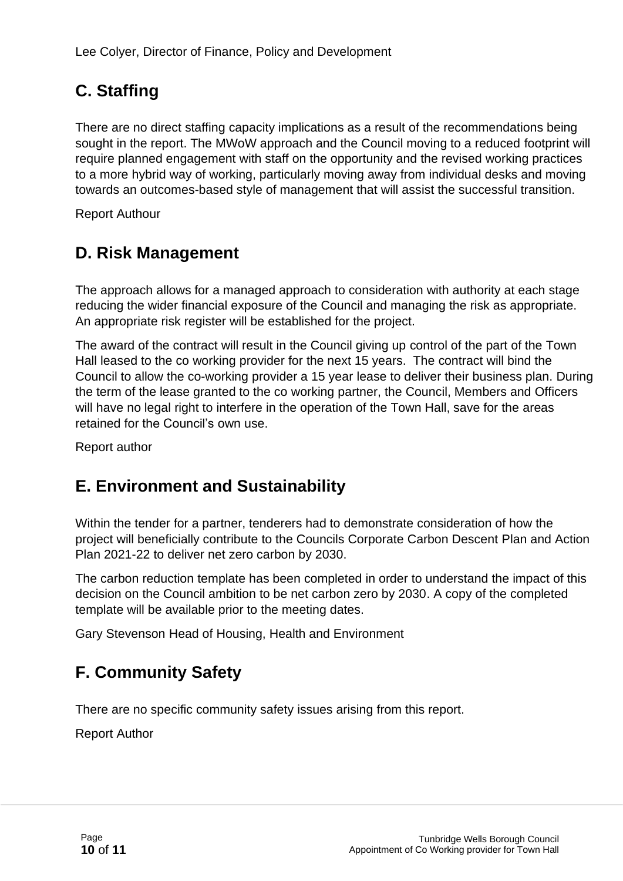## **C. Staffing**

There are no direct staffing capacity implications as a result of the recommendations being sought in the report. The MWoW approach and the Council moving to a reduced footprint will require planned engagement with staff on the opportunity and the revised working practices to a more hybrid way of working, particularly moving away from individual desks and moving towards an outcomes-based style of management that will assist the successful transition.

Report Authour

## **D. Risk Management**

The approach allows for a managed approach to consideration with authority at each stage reducing the wider financial exposure of the Council and managing the risk as appropriate. An appropriate risk register will be established for the project.

The award of the contract will result in the Council giving up control of the part of the Town Hall leased to the co working provider for the next 15 years. The contract will bind the Council to allow the co-working provider a 15 year lease to deliver their business plan. During the term of the lease granted to the co working partner, the Council, Members and Officers will have no legal right to interfere in the operation of the Town Hall, save for the areas retained for the Council's own use.

Report author

### **E. Environment and Sustainability**

Within the tender for a partner, tenderers had to demonstrate consideration of how the project will beneficially contribute to the Councils Corporate Carbon Descent Plan and Action Plan 2021-22 to deliver net zero carbon by 2030.

The carbon reduction template has been completed in order to understand the impact of this decision on the Council ambition to be net carbon zero by 2030. A copy of the completed template will be available prior to the meeting dates.

Gary Stevenson Head of Housing, Health and Environment

### **F. Community Safety**

There are no specific community safety issues arising from this report.

Report Author